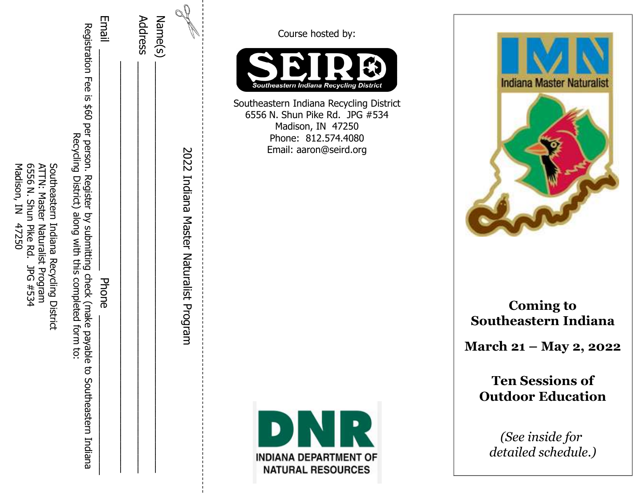| Madison, IN<br>6556 N. Shun Pike Rd.<br>ATTN: Master Naturalist Program<br>Southeastern Indiana Recycling District<br>47250 | Email<br>Registration Fee is<br>\$60 per person. Register<br>Recycling District)<br>along with this completed form to:<br>by submitting check (make payable<br>Phone<br>g<br>Southeastern Indiana | Address | $\mathbb{Q}$<br>Name(s)<br>2022<br>Indiana Master Naturalist Program | Course hosted by:<br>Southeastern Indiana Recycling District<br>Southeastern Indiana Recycling District<br>6556 N. Shun Pike Rd. JPG #534<br>Madison, IN 47250<br>Phone: 812.574.4080<br>Email: aaron@seird.org | <b>Indiana Master Naturalist</b>                                                                                         |
|-----------------------------------------------------------------------------------------------------------------------------|---------------------------------------------------------------------------------------------------------------------------------------------------------------------------------------------------|---------|----------------------------------------------------------------------|-----------------------------------------------------------------------------------------------------------------------------------------------------------------------------------------------------------------|--------------------------------------------------------------------------------------------------------------------------|
| JPG #534                                                                                                                    |                                                                                                                                                                                                   |         |                                                                      |                                                                                                                                                                                                                 | <b>Coming to</b><br>Southeastern Indiana<br>March 21 – May 2, 2022<br><b>Ten Sessions of</b><br><b>Outdoor Education</b> |
|                                                                                                                             |                                                                                                                                                                                                   |         |                                                                      | DNR<br><b>INDIANA DEPARTMENT OF</b><br><b>NATURAL RESOURCES</b>                                                                                                                                                 | (See inside for<br>detailed schedule.)                                                                                   |